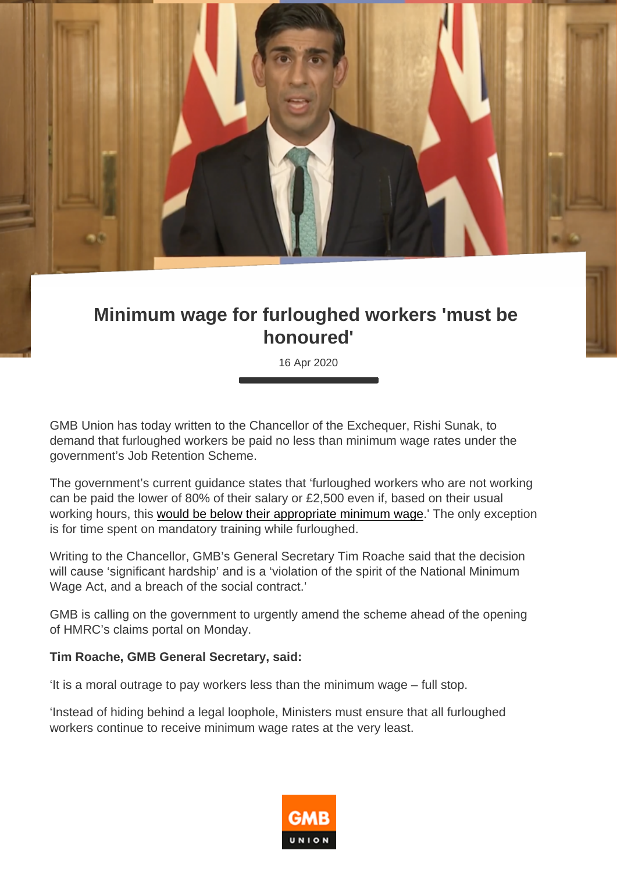## Minimum wage for furloughed workers 'must be honoured'

16 Apr 2020

GMB Union has today written to the Chancellor of the Exchequer, Rishi Sunak, to demand that furloughed workers be paid no less than minimum wage rates under the government's Job Retention Scheme.

The government's current guidance states that 'furloughed workers who are not working can be paid the lower of 80% of their salary or £2,500 even if, based on their usual working hours, this [would be below their appropriate minimum wage.](https://www.gov.uk/guidance/claim-for-wage-costs-through-the-coronavirus-job-retention-scheme )' The only exception is for time spent on mandatory training while furloughed.

Writing to the Chancellor, GMB's General Secretary Tim Roache said that the decision will cause 'significant hardship' and is a 'violation of the spirit of the National Minimum Wage Act, and a breach of the social contract.'

GMB is calling on the government to urgently amend the scheme ahead of the opening of HMRC's claims portal on Monday.

Tim Roache, GMB General Secretary, said:

'It is a moral outrage to pay workers less than the minimum wage – full stop.

'Instead of hiding behind a legal loophole, Ministers must ensure that all furloughed workers continue to receive minimum wage rates at the very least.